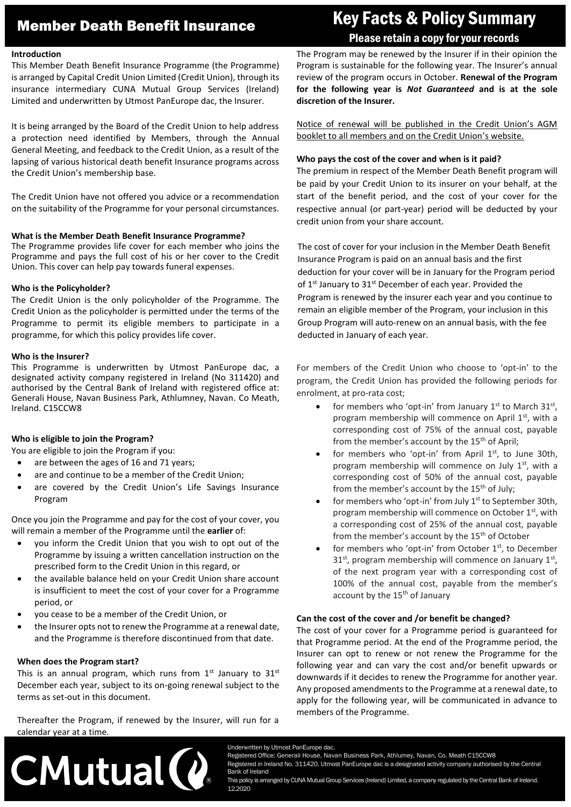# Member Death Benefit Insurance

# **Introduction**

This Member Death Benefit Insurance Programme (the Programme) is arranged by Capital Credit Union Limited (Credit Union), through its insurance intermediary CUNA Mutual Group Services (Ireland) Limited and underwritten by Utmost PanEurope dac, the Insurer.

It is being arranged by the Board of the Credit Union to help address a protection need identified by Members, through the Annual General Meeting, and feedback to the Credit Union, as a result of the lapsing of various historical death benefit Insurance programs across the Credit Union's membership base.

The Credit Union have not offered you advice or a recommendation on the suitability of the Programme for your personal circumstances.

#### **What is the Member Death Benefit Insurance Programme?**

The Programme provides life cover for each member who joins the Programme and pays the full cost of his or her cover to the Credit Union. This cover can help pay towards funeral expenses.

### **Who is the Policyholder?**

The Credit Union is the only policyholder of the Programme. The Credit Union as the policyholder is permitted under the terms of the Programme to permit its eligible members to participate in a programme, for which this policy provides life cover.

#### **Who is the Insurer?**

This Programme is underwritten by Utmost PanEurope dac, a designated activity company registered in Ireland (No 311420) and authorised by the Central Bank of Ireland with registered office at: Generali House, Navan Business Park, Athlumney, Navan. Co Meath, Ireland. C15CCW8

## **Who is eligible to join the Program?**

- You are eligible to join the Program if you:
- are between the ages of 16 and 71 years;
- are and continue to be a member of the Credit Union;
- are covered by the Credit Union's Life Savings Insurance Program

Once you join the Programme and pay for the cost of your cover, you will remain a member of the Programme until the **earlier** of:

- you inform the Credit Union that you wish to opt out of the Programme by issuing a written cancellation instruction on the prescribed form to the Credit Union in this regard, or
- the available balance held on your Credit Union share account is insufficient to meet the cost of your cover for a Programme period, or
- you cease to be a member of the Credit Union, or
- the Insurer opts not to renew the Programme at a renewal date, and the Programme is therefore discontinued from that date.

# **When does the Program start?**

This is an annual program, which runs from  $1<sup>st</sup>$  January to  $31<sup>st</sup>$ December each year, subject to its on-going renewal subject to the terms as set-out in this document.

Thereafter the Program, if renewed by the Insurer, will run for a calendar year at a time.

# Key Facts & Policy Summary Please retain a copy for your records

The Program may be renewed by the Insurer if in their opinion the Program is sustainable for the following year. The Insurer's annual review of the program occurs in October. **Renewal of the Program for the following year is** *Not Guaranteed* **and is at the sole discretion of the Insurer.**

Notice of renewal will be published in the Credit Union's AGM booklet to all members and on the Credit Union's website.

# **Who pays the cost of the cover and when is it paid?**

The premium in respect of the Member Death Benefit program will be paid by your Credit Union to its insurer on your behalf, at the start of the benefit period, and the cost of your cover for the respective annual (or part-year) period will be deducted by your credit union from your share account.

The cost of cover for your inclusion in the Member Death Benefit Insurance Program is paid on an annual basis and the first deduction for your cover will be in January for the Program period of 1<sup>st</sup> January to 31<sup>st</sup> December of each year. Provided the Program is renewed by the insurer each year and you continue to remain an eligible member of the Program, your inclusion in this Group Program will auto-renew on an annual basis, with the fee deducted in January of each year.

For members of the Credit Union who choose to 'opt-in' to the program, the Credit Union has provided the following periods for enrolment, at pro-rata cost;

- for members who 'opt-in' from January  $1<sup>st</sup>$  to March  $31<sup>st</sup>$ , program membership will commence on April  $1<sup>st</sup>$ , with a corresponding cost of 75% of the annual cost, payable from the member's account by the  $15<sup>th</sup>$  of April;
- for members who 'opt-in' from April  $1<sup>st</sup>$ , to June 30th, program membership will commence on July  $1<sup>st</sup>$ , with a corresponding cost of 50% of the annual cost, payable from the member's account by the  $15<sup>th</sup>$  of July;
- for members who 'opt-in' from July  $1<sup>st</sup>$  to September 30th, program membership will commence on October  $1<sup>st</sup>$ , with a corresponding cost of 25% of the annual cost, payable from the member's account by the 15<sup>th</sup> of October
- for members who 'opt-in' from October 1<sup>st</sup>, to December  $31<sup>st</sup>$ , program membership will commence on January  $1<sup>st</sup>$ , of the next program year with a corresponding cost of 100% of the annual cost, payable from the member's account by the 15<sup>th</sup> of January

# **Can the cost of the cover and /or benefit be changed?**

The cost of your cover for a Programme period is guaranteed for that Programme period. At the end of the Programme period, the Insurer can opt to renew or not renew the Programme for the following year and can vary the cost and/or benefit upwards or downwards if it decides to renew the Programme for another year. Any proposed amendments to the Programme at a renewal date, to apply for the following year, will be communicated in advance to members of the Programme.



Registered in Ireland No. 311420. Utmost PanEurope dac is a designated activity company authorised by the Central Bank of Ireland

This policy is arranged by CUNA Mutual Group Services (Ireland) Limited, a company regulated by the Central Bank of Ireland. 12.2020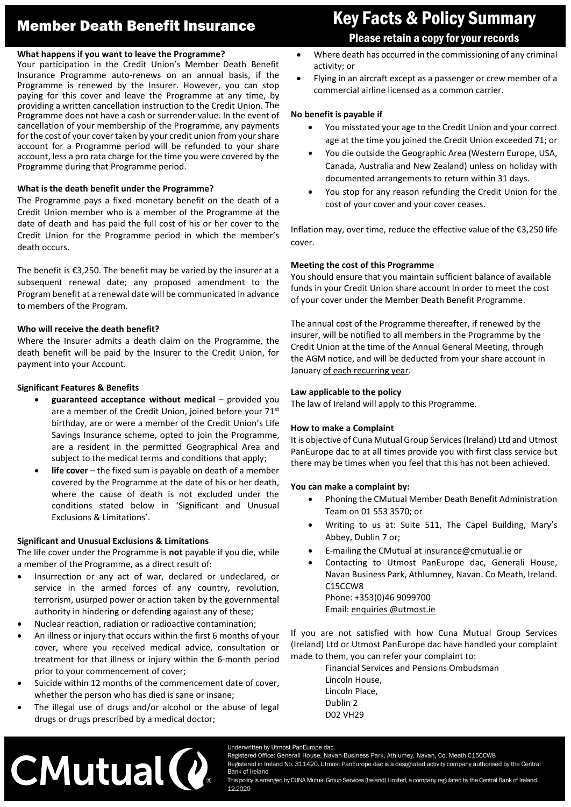# Member Death Benefit Insurance

# What happens if you want to leave the Programme?

Your participation in the Credit Union's Member Death Benefit Insurance Programme auto-renews on an annual basis, if the Programme is renewed by the Insurer. However, you can stop paying for this cover and leave the Programme at any time, by providing a written cancellation instruction to the Credit Union. The Programme does not have a cash or surrender value. In the event of cancellation of your membership of the Programme, any payments for the cost of your cover taken by your credit union from your share account for a Programme period will be refunded to your share account, less a pro rata charge for the time you were covered by the Programme during that Programme period.

# **What is the death benefit under the Programme?**

The Programme pays a fixed monetary benefit on the death of a Credit Union member who is a member of the Programme at the date of death and has paid the full cost of his or her cover to the Credit Union for the Programme period in which the member's death occurs.

The benefit is  $£3,250$ . The benefit may be varied by the insurer at a subsequent renewal date; any proposed amendment to the Program benefit at a renewal date will be communicated in advance to members of the Program.

### **Who will receive the death benefit?**

Where the Insurer admits a death claim on the Programme, the death benefit will be paid by the Insurer to the Credit Union, for payment into your Account.

# **Significant Features & Benefits**

- **guaranteed acceptance without medical** provided you are a member of the Credit Union, joined before your 71<sup>st</sup> birthday, are or were a member of the Credit Union's Life Savings Insurance scheme, opted to join the Programme, are a resident in the permitted Geographical Area and subject to the medical terms and conditions that apply;
- **life cover** the fixed sum is payable on death of a member covered by the Programme at the date of his or her death, where the cause of death is not excluded under the conditions stated below in 'Significant and Unusual Exclusions & Limitations'.

### **Significant and Unusual Exclusions & Limitations**

The life cover under the Programme is **not** payable if you die, while a member of the Programme, as a direct result of:

- Insurrection or any act of war, declared or undeclared, or service in the armed forces of any country, revolution, terrorism, usurped power or action taken by the governmental authority in hindering or defending against any of these;
- Nuclear reaction, radiation or radioactive contamination;
- An illness or injury that occurs within the first 6 months of your cover, where you received medical advice, consultation or treatment for that illness or injury within the 6-month period prior to your commencement of cover;
- Suicide within 12 months of the commencement date of cover, whether the person who has died is sane or insane;
- The illegal use of drugs and/or alcohol or the abuse of legal drugs or drugs prescribed by a medical doctor;

 $CMutual(Q)$ 

# Key Facts & Policy Summary Please retain a copy for your records

- Where death has occurred in the commissioning of any criminal activity; or
- Flying in an aircraft except as a passenger or crew member of a commercial airline licensed as a common carrier.

# **No benefit is payable if**

- You misstated your age to the Credit Union and your correct age at the time you joined the Credit Union exceeded 71; or
- You die outside the Geographic Area (Western Europe, USA, Canada, Australia and New Zealand) unless on holiday with documented arrangements to return within 31 days.
- You stop for any reason refunding the Credit Union for the cost of your cover and your cover ceases.

Inflation may, over time, reduce the effective value of the €3,250 life cover.

### **Meeting the cost of this Programme**

You should ensure that you maintain sufficient balance of available funds in your Credit Union share account in order to meet the cost of your cover under the Member Death Benefit Programme.

The annual cost of the Programme thereafter, if renewed by the insurer, will be notified to all members in the Programme by the Credit Union at the time of the Annual General Meeting, through the AGM notice, and will be deducted from your share account in January of each recurring year.

### **Law applicable to the policy**

The law of Ireland will apply to this Programme.

# **How to make a Complaint**

It is objective of Cuna Mutual Group Services (Ireland) Ltd and Utmost PanEurope dac to at all times provide you with first class service but there may be times when you feel that this has not been achieved.

### **You can make a complaint by:**

- Phoning the CMutual Member Death Benefit Administration Team on 01 553 3570; or
- Writing to us at: Suite 511, The Capel Building, Mary's Abbey, Dublin 7 or;
- E-mailing the CMutual a[t insurance@cmutual.ie](mailto:insurance@cmutual.ie) or
- Contacting to Utmost PanEurope dac, Generali House, Navan Business Park, Athlumney, Navan. Co Meath, Ireland. C15CCW8 Phone: +353(0)46 9099700

Email: enquiries @utmost.ie

If you are not satisfied with how Cuna Mutual Group Services (Ireland) Ltd or Utmost PanEurope dac have handled your complaint made to them, you can refer your complaint to:

> Financial Services and Pensions Ombudsman Lincoln House, Lincoln Place, Dublin 2 D02 VH29

# Underwritten by Utmost PanEurope dac.

Registered Office: Generali House, Navan Business Park, Athlumey, Navan, Co. Meath C15CCW8 Registered in Ireland No. 311420. Utmost PanEurope dac is a designated activity company authorised by the Central Bank of Ireland

This policy is arranged by CUNA Mutual Group Services (Ireland) Limited, a company regulated by the Central Bank of Ireland. 12.2020